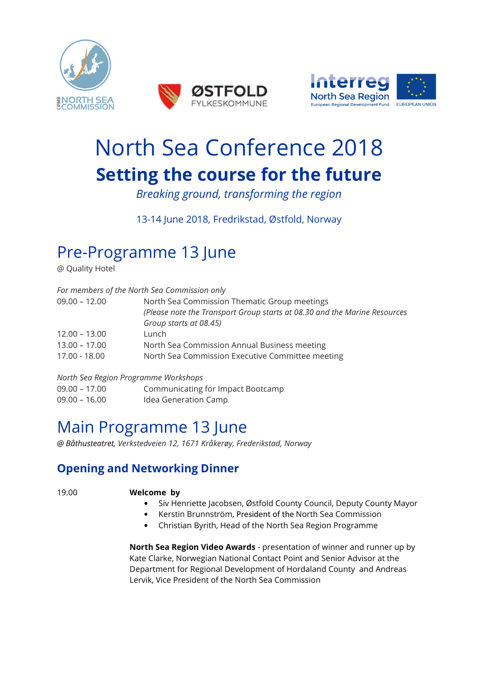





# North Sea Conference 2018 **Setting the course for the future**

*Breaking ground, transforming the region* 

13-14 June 2018, Fredrikstad, Østfold, Norway

## Pre-Programme 13 June

@ Quality Hotel

|                 | For members of the North Sea Commission only                              |
|-----------------|---------------------------------------------------------------------------|
| $09.00 - 12.00$ | North Sea Commission Thematic Group meetings                              |
|                 | (Please note the Transport Group starts at 08.30 and the Marine Resources |
|                 | Group starts at 08.45)                                                    |
| $12.00 - 13.00$ | Lunch                                                                     |
| $13.00 - 17.00$ | North Sea Commission Annual Business meeting                              |
| 17.00 - 18.00   | North Sea Commission Executive Committee meeting                          |

*North Sea Region Programme Workshops*  09.00 – 17.00 Communicating for Impact Bootcamp 09.00 – 16.00 Idea Generation Camp

## Main Programme 13 June

*@ Båthusteatret, Verkstedveien 12, 1671 Kråkerøy, Frederikstad, Norway* 

### **Opening and Networking Dinner**

#### 19.00 **Welcome by**

- Siv Henriette Jacobsen, Østfold County Council, Deputy County Mayor
- Kerstin Brunnström, President of the North Sea Commission
- Christian Byrith, Head of the North Sea Region Programme

**North Sea Region Video Awards** - presentation of winner and runner up by Kate Clarke, Norwegian National Contact Point and Senior Advisor at the Department for Regional Development of Hordaland County and Andreas Lervik, Vice President of the North Sea Commission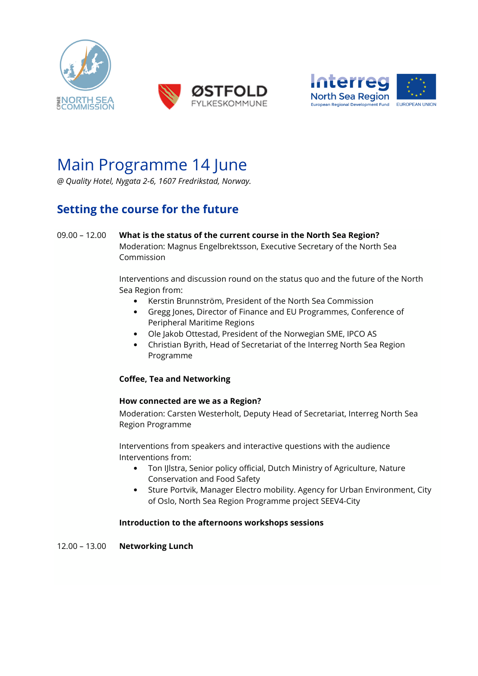





## Main Programme 14 June

*@ Quality Hotel, Nygata 2-6, 1607 Fredrikstad, Norway.* 

### **Setting the course for the future**

09.00 – 12.00 **What is the status of the current course in the North Sea Region?**  Moderation: Magnus Engelbrektsson, Executive Secretary of the North Sea Commission

> Interventions and discussion round on the status quo and the future of the North Sea Region from:

- Kerstin Brunnström, President of the North Sea Commission
- Gregg Jones, Director of Finance and EU Programmes, Conference of Peripheral Maritime Regions
- Ole Jakob Ottestad, President of the Norwegian SME, IPCO AS
- Christian Byrith, Head of Secretariat of the Interreg North Sea Region Programme

#### **Coffee, Tea and Networking**

#### **How connected are we as a Region?**

Moderation: Carsten Westerholt, Deputy Head of Secretariat, Interreg North Sea Region Programme

Interventions from speakers and interactive questions with the audience Interventions from:

- Ton IJlstra, Senior policy official, Dutch Ministry of Agriculture, Nature Conservation and Food Safety
- Sture Portvik, Manager Electro mobility. Agency for Urban Environment, City of Oslo, North Sea Region Programme project SEEV4-City

#### **Introduction to the afternoons workshops sessions**

12.00 – 13.00 **Networking Lunch**